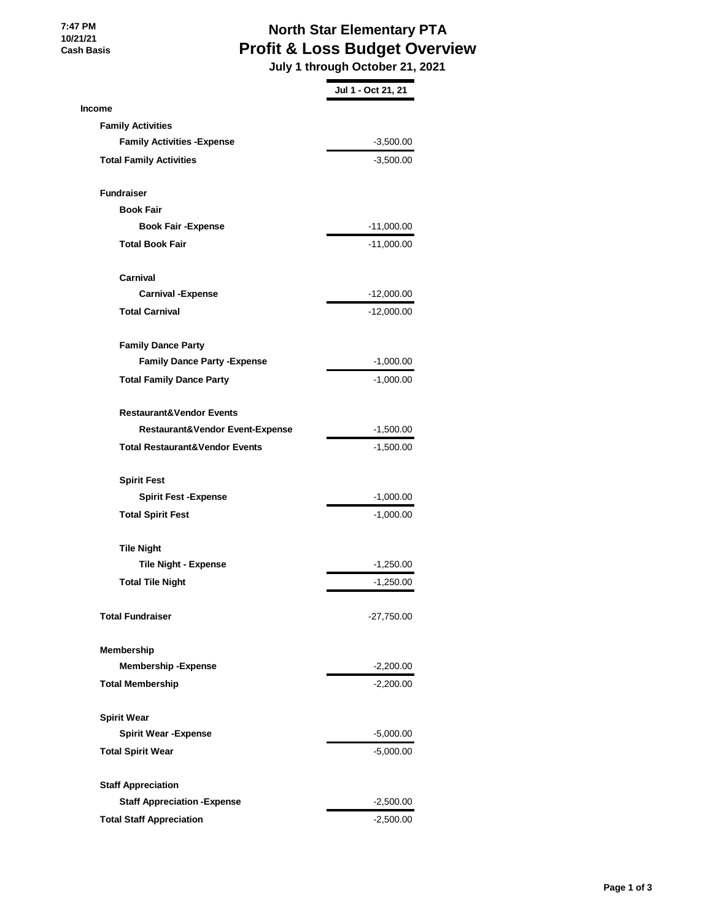## **North Star Elementary PTA Profit & Loss Budget Overview**

 **July 1 through October 21, 2021**

|                                            | Jul 1 - Oct 21, 21 |
|--------------------------------------------|--------------------|
| <b>Income</b>                              |                    |
| <b>Family Activities</b>                   |                    |
| <b>Family Activities - Expense</b>         | $-3,500.00$        |
| <b>Total Family Activities</b>             | $-3,500.00$        |
| <b>Fundraiser</b>                          |                    |
| <b>Book Fair</b>                           |                    |
| <b>Book Fair - Expense</b>                 | $-11,000.00$       |
| <b>Total Book Fair</b>                     | -11,000.00         |
| Carnival                                   |                    |
| <b>Carnival -Expense</b>                   | -12,000.00         |
| <b>Total Carnival</b>                      | -12,000.00         |
| <b>Family Dance Party</b>                  |                    |
| <b>Family Dance Party - Expense</b>        | $-1,000.00$        |
| <b>Total Family Dance Party</b>            | $-1,000.00$        |
| <b>Restaurant&amp;Vendor Events</b>        |                    |
| <b>Restaurant&amp;Vendor Event-Expense</b> | -1,500.00          |
| <b>Total Restaurant&amp;Vendor Events</b>  | $-1,500.00$        |
| <b>Spirit Fest</b>                         |                    |
| <b>Spirit Fest -Expense</b>                | $-1,000.00$        |
| <b>Total Spirit Fest</b>                   | $-1,000.00$        |
| <b>Tile Night</b>                          |                    |
| <b>Tile Night - Expense</b>                | $-1,250.00$        |
| <b>Total Tile Night</b>                    | $-1,250.00$        |
| <b>Total Fundraiser</b>                    | -27,750.00         |
| Membership                                 |                    |
| <b>Membership-Expense</b>                  | $-2,200.00$        |
| <b>Total Membership</b>                    | $-2,200.00$        |
| <b>Spirit Wear</b>                         |                    |
| <b>Spirit Wear - Expense</b>               | $-5,000.00$        |
| <b>Total Spirit Wear</b>                   | $-5,000.00$        |
| <b>Staff Appreciation</b>                  |                    |
| <b>Staff Appreciation - Expense</b>        | $-2,500.00$        |
| <b>Total Staff Appreciation</b>            | $-2,500.00$        |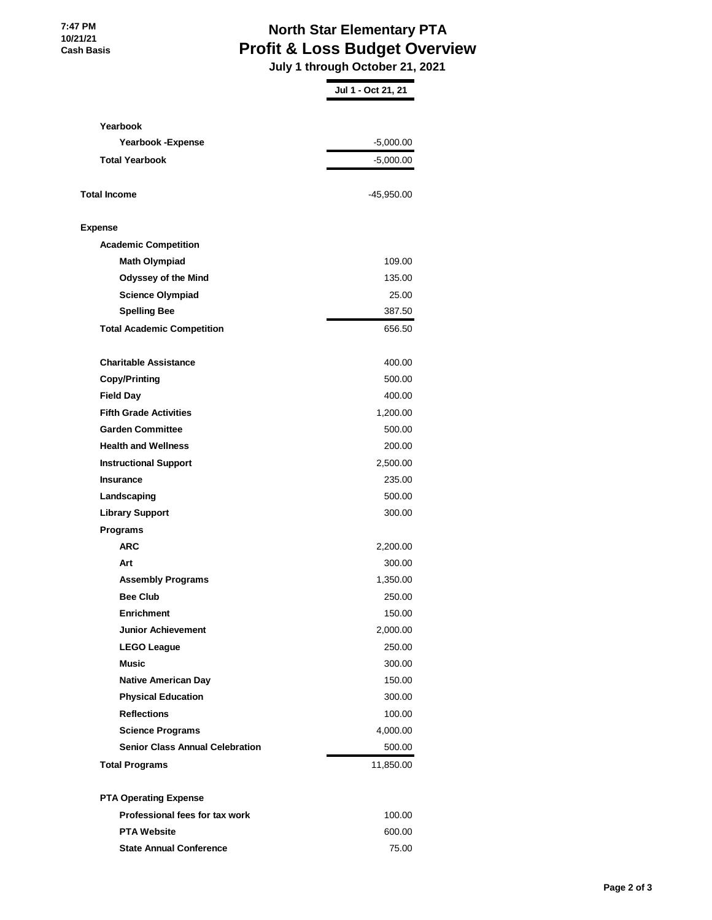## **North Star Elementary PTA Profit & Loss Budget Overview**

 **July 1 through October 21, 2021**

|                                        | Jul 1 - Oct 21, 21 |
|----------------------------------------|--------------------|
|                                        |                    |
| Yearbook<br>Yearbook - Expense         | $-5,000.00$        |
|                                        |                    |
| <b>Total Yearbook</b>                  | $-5,000.00$        |
| <b>Total Income</b>                    | -45,950.00         |
| <b>Expense</b>                         |                    |
| <b>Academic Competition</b>            |                    |
| <b>Math Olympiad</b>                   | 109.00             |
| <b>Odyssey of the Mind</b>             | 135.00             |
| <b>Science Olympiad</b>                | 25.00              |
| <b>Spelling Bee</b>                    | 387.50             |
| <b>Total Academic Competition</b>      | 656.50             |
| <b>Charitable Assistance</b>           | 400.00             |
| <b>Copy/Printing</b>                   | 500.00             |
| <b>Field Day</b>                       | 400.00             |
| <b>Fifth Grade Activities</b>          | 1,200.00           |
| <b>Garden Committee</b>                | 500.00             |
| <b>Health and Wellness</b>             | 200.00             |
| <b>Instructional Support</b>           | 2,500.00           |
| <b>Insurance</b>                       | 235.00             |
| Landscaping                            | 500.00             |
| <b>Library Support</b>                 | 300.00             |
| Programs                               |                    |
| ARC                                    | 2,200.00           |
| Art                                    | 300.00             |
| <b>Assembly Programs</b>               | 1,350.00           |
| <b>Bee Club</b>                        | 250.00             |
| <b>Enrichment</b>                      | 150.00             |
| <b>Junior Achievement</b>              | 2,000.00           |
| <b>LEGO League</b>                     | 250.00             |
| Music                                  | 300.00             |
| <b>Native American Day</b>             | 150.00             |
| <b>Physical Education</b>              | 300.00             |
| <b>Reflections</b>                     | 100.00             |
| <b>Science Programs</b>                | 4,000.00           |
| <b>Senior Class Annual Celebration</b> | 500.00             |
| <b>Total Programs</b>                  | 11,850.00          |
| <b>PTA Operating Expense</b>           |                    |
| Professional fees for tax work         | 100.00             |
| <b>PTA Website</b>                     | 600.00             |
| <b>State Annual Conference</b>         | 75.00              |
|                                        |                    |